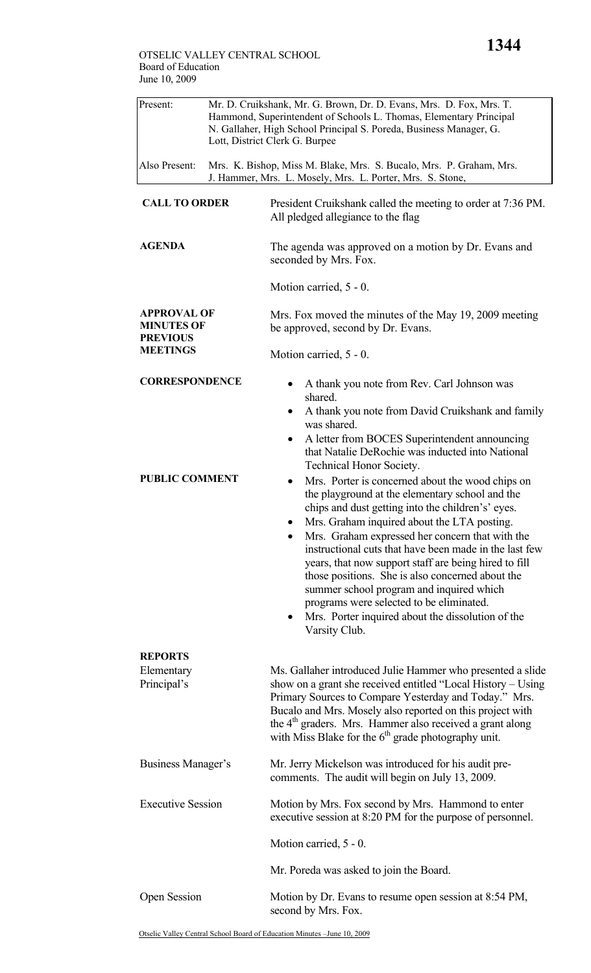| Present:                                                                      | Mr. D. Cruikshank, Mr. G. Brown, Dr. D. Evans, Mrs. D. Fox, Mrs. T.<br>Hammond, Superintendent of Schools L. Thomas, Elementary Principal<br>N. Gallaher, High School Principal S. Poreda, Business Manager, G.<br>Lott, District Clerk G. Burpee |                                                                                                                                                                                                                                                                                                                                                                                                                                                                                                                                                                                                 |  |  |
|-------------------------------------------------------------------------------|---------------------------------------------------------------------------------------------------------------------------------------------------------------------------------------------------------------------------------------------------|-------------------------------------------------------------------------------------------------------------------------------------------------------------------------------------------------------------------------------------------------------------------------------------------------------------------------------------------------------------------------------------------------------------------------------------------------------------------------------------------------------------------------------------------------------------------------------------------------|--|--|
| Also Present:                                                                 |                                                                                                                                                                                                                                                   | Mrs. K. Bishop, Miss M. Blake, Mrs. S. Bucalo, Mrs. P. Graham, Mrs.<br>J. Hammer, Mrs. L. Mosely, Mrs. L. Porter, Mrs. S. Stone,                                                                                                                                                                                                                                                                                                                                                                                                                                                                |  |  |
| <b>CALL TO ORDER</b>                                                          |                                                                                                                                                                                                                                                   | President Cruikshank called the meeting to order at 7:36 PM.<br>All pledged allegiance to the flag                                                                                                                                                                                                                                                                                                                                                                                                                                                                                              |  |  |
| <b>AGENDA</b>                                                                 |                                                                                                                                                                                                                                                   | The agenda was approved on a motion by Dr. Evans and<br>seconded by Mrs. Fox.                                                                                                                                                                                                                                                                                                                                                                                                                                                                                                                   |  |  |
|                                                                               |                                                                                                                                                                                                                                                   | Motion carried, 5 - 0.                                                                                                                                                                                                                                                                                                                                                                                                                                                                                                                                                                          |  |  |
| <b>APPROVAL OF</b><br><b>MINUTES OF</b><br><b>PREVIOUS</b><br><b>MEETINGS</b> |                                                                                                                                                                                                                                                   | Mrs. Fox moved the minutes of the May 19, 2009 meeting<br>be approved, second by Dr. Evans.                                                                                                                                                                                                                                                                                                                                                                                                                                                                                                     |  |  |
|                                                                               |                                                                                                                                                                                                                                                   | Motion carried, 5 - 0.                                                                                                                                                                                                                                                                                                                                                                                                                                                                                                                                                                          |  |  |
| <b>CORRESPONDENCE</b>                                                         |                                                                                                                                                                                                                                                   | A thank you note from Rev. Carl Johnson was<br>shared.                                                                                                                                                                                                                                                                                                                                                                                                                                                                                                                                          |  |  |
|                                                                               |                                                                                                                                                                                                                                                   | A thank you note from David Cruikshank and family<br>$\bullet$<br>was shared.<br>A letter from BOCES Superintendent announcing<br>$\bullet$                                                                                                                                                                                                                                                                                                                                                                                                                                                     |  |  |
|                                                                               |                                                                                                                                                                                                                                                   | that Natalie DeRochie was inducted into National<br>Technical Honor Society.                                                                                                                                                                                                                                                                                                                                                                                                                                                                                                                    |  |  |
| <b>PUBLIC COMMENT</b>                                                         |                                                                                                                                                                                                                                                   | Mrs. Porter is concerned about the wood chips on<br>the playground at the elementary school and the<br>chips and dust getting into the children's' eyes.<br>Mrs. Graham inquired about the LTA posting.<br>Mrs. Graham expressed her concern that with the<br>instructional cuts that have been made in the last few<br>years, that now support staff are being hired to fill<br>those positions. She is also concerned about the<br>summer school program and inquired which<br>programs were selected to be eliminated.<br>Mrs. Porter inquired about the dissolution of the<br>Varsity Club. |  |  |
| <b>REPORTS</b>                                                                |                                                                                                                                                                                                                                                   |                                                                                                                                                                                                                                                                                                                                                                                                                                                                                                                                                                                                 |  |  |
| Elementary<br>Principal's                                                     |                                                                                                                                                                                                                                                   | Ms. Gallaher introduced Julie Hammer who presented a slide<br>show on a grant she received entitled "Local History – Using<br>Primary Sources to Compare Yesterday and Today." Mrs.<br>Bucalo and Mrs. Mosely also reported on this project with<br>the 4 <sup>th</sup> graders. Mrs. Hammer also received a grant along<br>with Miss Blake for the $6th$ grade photography unit.                                                                                                                                                                                                               |  |  |
| Business Manager's                                                            |                                                                                                                                                                                                                                                   | Mr. Jerry Mickelson was introduced for his audit pre-<br>comments. The audit will begin on July 13, 2009.                                                                                                                                                                                                                                                                                                                                                                                                                                                                                       |  |  |
| <b>Executive Session</b>                                                      |                                                                                                                                                                                                                                                   | Motion by Mrs. Fox second by Mrs. Hammond to enter<br>executive session at 8:20 PM for the purpose of personnel.                                                                                                                                                                                                                                                                                                                                                                                                                                                                                |  |  |
|                                                                               |                                                                                                                                                                                                                                                   | Motion carried, 5 - 0.                                                                                                                                                                                                                                                                                                                                                                                                                                                                                                                                                                          |  |  |
|                                                                               |                                                                                                                                                                                                                                                   | Mr. Poreda was asked to join the Board.                                                                                                                                                                                                                                                                                                                                                                                                                                                                                                                                                         |  |  |
| <b>Open Session</b>                                                           |                                                                                                                                                                                                                                                   | Motion by Dr. Evans to resume open session at 8:54 PM,<br>second by Mrs. Fox.                                                                                                                                                                                                                                                                                                                                                                                                                                                                                                                   |  |  |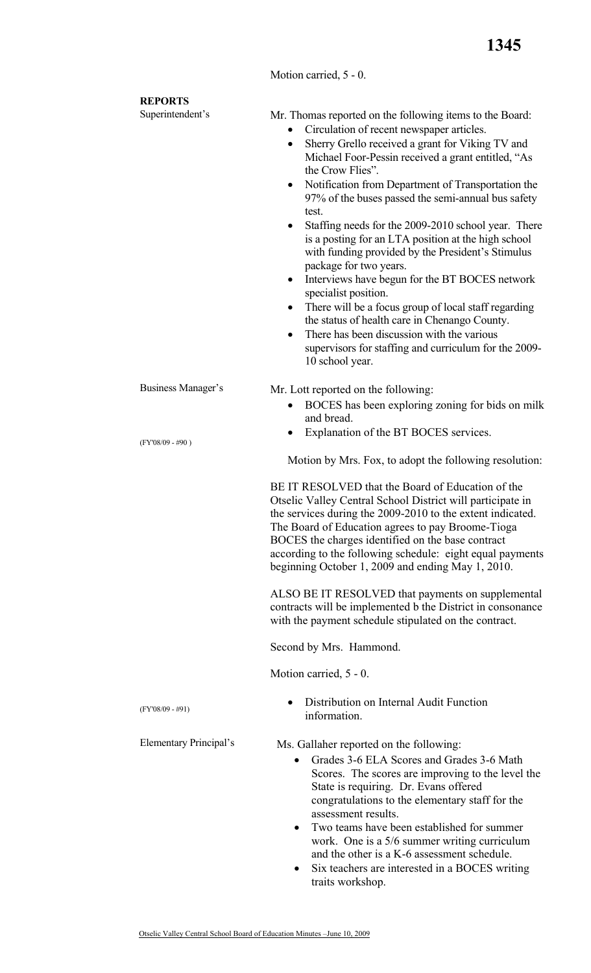## Motion carried, 5 - 0.

| <b>REPORTS</b>            |                                                                                                                                                                                                                                                                                                                                                                                                                                                                                                                                                                                                                                                                                                                                                                                                                                                                                                                                  |
|---------------------------|----------------------------------------------------------------------------------------------------------------------------------------------------------------------------------------------------------------------------------------------------------------------------------------------------------------------------------------------------------------------------------------------------------------------------------------------------------------------------------------------------------------------------------------------------------------------------------------------------------------------------------------------------------------------------------------------------------------------------------------------------------------------------------------------------------------------------------------------------------------------------------------------------------------------------------|
| Superintendent's          | Mr. Thomas reported on the following items to the Board:<br>Circulation of recent newspaper articles.<br>$\bullet$<br>Sherry Grello received a grant for Viking TV and<br>$\bullet$<br>Michael Foor-Pessin received a grant entitled, "As<br>the Crow Flies".<br>Notification from Department of Transportation the<br>97% of the buses passed the semi-annual bus safety<br>test.<br>Staffing needs for the 2009-2010 school year. There<br>٠<br>is a posting for an LTA position at the high school<br>with funding provided by the President's Stimulus<br>package for two years.<br>Interviews have begun for the BT BOCES network<br>$\bullet$<br>specialist position.<br>There will be a focus group of local staff regarding<br>٠<br>the status of health care in Chenango County.<br>There has been discussion with the various<br>$\bullet$<br>supervisors for staffing and curriculum for the 2009-<br>10 school year. |
| <b>Business Manager's</b> | Mr. Lott reported on the following:                                                                                                                                                                                                                                                                                                                                                                                                                                                                                                                                                                                                                                                                                                                                                                                                                                                                                              |
|                           | BOCES has been exploring zoning for bids on milk<br>and bread.                                                                                                                                                                                                                                                                                                                                                                                                                                                                                                                                                                                                                                                                                                                                                                                                                                                                   |
| $(FY'08/09 - #90)$        | Explanation of the BT BOCES services.<br>Motion by Mrs. Fox, to adopt the following resolution:                                                                                                                                                                                                                                                                                                                                                                                                                                                                                                                                                                                                                                                                                                                                                                                                                                  |
|                           | BE IT RESOLVED that the Board of Education of the<br>Otselic Valley Central School District will participate in<br>the services during the 2009-2010 to the extent indicated.<br>The Board of Education agrees to pay Broome-Tioga<br>BOCES the charges identified on the base contract<br>according to the following schedule: eight equal payments<br>beginning October 1, 2009 and ending May 1, 2010.                                                                                                                                                                                                                                                                                                                                                                                                                                                                                                                        |
|                           | ALSO BE IT RESOLVED that payments on supplemental<br>contracts will be implemented b the District in consonance<br>with the payment schedule stipulated on the contract.                                                                                                                                                                                                                                                                                                                                                                                                                                                                                                                                                                                                                                                                                                                                                         |
|                           | Second by Mrs. Hammond.                                                                                                                                                                                                                                                                                                                                                                                                                                                                                                                                                                                                                                                                                                                                                                                                                                                                                                          |
|                           | Motion carried, 5 - 0.                                                                                                                                                                                                                                                                                                                                                                                                                                                                                                                                                                                                                                                                                                                                                                                                                                                                                                           |
| $(FY'08/09 - #91)$        | Distribution on Internal Audit Function<br>$\bullet$<br>information.                                                                                                                                                                                                                                                                                                                                                                                                                                                                                                                                                                                                                                                                                                                                                                                                                                                             |
| Elementary Principal's    | Ms. Gallaher reported on the following:<br>Grades 3-6 ELA Scores and Grades 3-6 Math<br>$\bullet$<br>Scores. The scores are improving to the level the<br>State is requiring. Dr. Evans offered<br>congratulations to the elementary staff for the<br>assessment results.<br>Two teams have been established for summer<br>work. One is a 5/6 summer writing curriculum<br>and the other is a K-6 assessment schedule.<br>Six teachers are interested in a BOCES writing<br>traits workshop.                                                                                                                                                                                                                                                                                                                                                                                                                                     |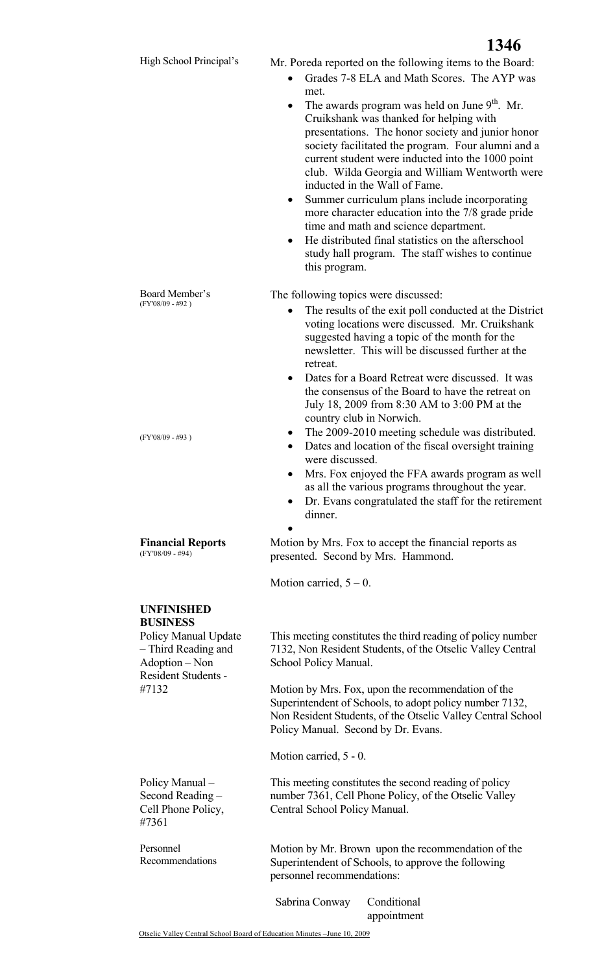Board Member's (FY'08/09 - #92 )

(FY'08/09 - #93 )

High School Principal's Mr. Poreda reported on the following items to the Board:

- Grades 7-8 ELA and Math Scores. The AYP was met.
- The awards program was held on June  $9<sup>th</sup>$ . Mr. Cruikshank was thanked for helping with presentations. The honor society and junior honor society facilitated the program. Four alumni and a current student were inducted into the 1000 point club. Wilda Georgia and William Wentworth were inducted in the Wall of Fame.
- Summer curriculum plans include incorporating more character education into the 7/8 grade pride time and math and science department.
- He distributed final statistics on the afterschool study hall program. The staff wishes to continue this program.

The following topics were discussed:

- The results of the exit poll conducted at the District voting locations were discussed. Mr. Cruikshank suggested having a topic of the month for the newsletter. This will be discussed further at the retreat.
- Dates for a Board Retreat were discussed. It was the consensus of the Board to have the retreat on July 18, 2009 from 8:30 AM to 3:00 PM at the country club in Norwich.
- The 2009-2010 meeting schedule was distributed.
- Dates and location of the fiscal oversight training were discussed.
- Mrs. Fox enjoyed the FFA awards program as well as all the various programs throughout the year.
- Dr. Evans congratulated the staff for the retirement dinner.

**Financial Reports**  (FY'08/09 - #94)

presented. Second by Mrs. Hammond.

Motion carried,  $5 - 0$ .

•

**UNFINISHED BUSINESS** 

Policy Manual Update – Third Reading and Adoption – Non Resident Students - #7132

Policy Manual – Second Reading – Cell Phone Policy, #7361

Personnel Recommendations

Motion by Mrs. Fox to accept the financial reports as

This meeting constitutes the third reading of policy number 7132, Non Resident Students, of the Otselic Valley Central School Policy Manual.

Motion by Mrs. Fox, upon the recommendation of the Superintendent of Schools, to adopt policy number 7132, Non Resident Students, of the Otselic Valley Central School Policy Manual. Second by Dr. Evans.

Motion carried, 5 - 0.

 This meeting constitutes the second reading of policy number 7361, Cell Phone Policy, of the Otselic Valley Central School Policy Manual.

Motion by Mr. Brown upon the recommendation of the Superintendent of Schools, to approve the following personnel recommendations:

Sabrina Conway Conditional appointment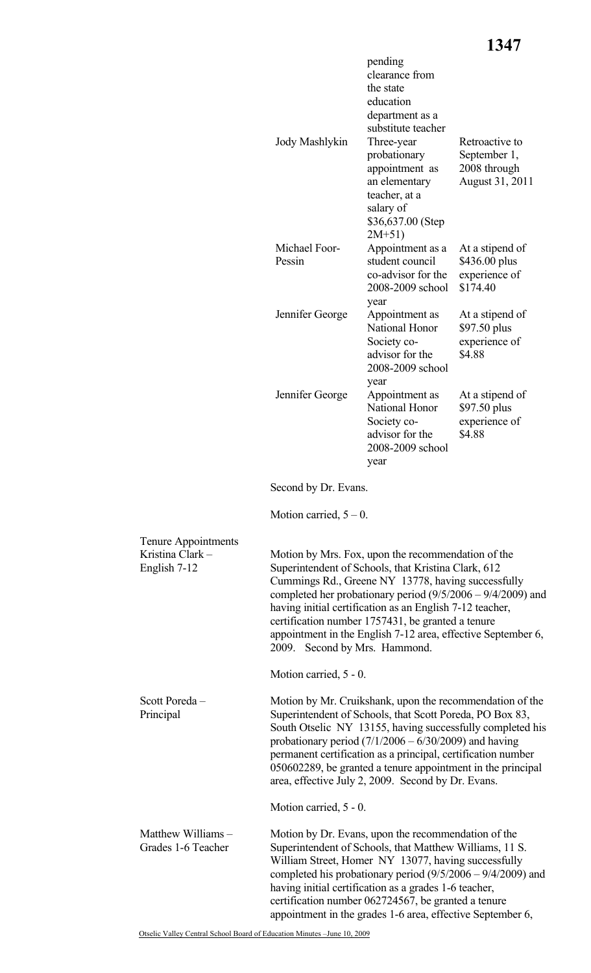|                                                         | Jody Mashlykin                                                                                                                                                                                                                                                                                                                                                                                                                                     | pending<br>clearance from<br>the state<br>education<br>department as a<br>substitute teacher<br>Three-year<br>probationary<br>appointment as<br>an elementary<br>teacher, at a<br>salary of<br>\$36,637.00 (Step | Retroactive to<br>September 1,<br>2008 through<br>August 31, 2011 |
|---------------------------------------------------------|----------------------------------------------------------------------------------------------------------------------------------------------------------------------------------------------------------------------------------------------------------------------------------------------------------------------------------------------------------------------------------------------------------------------------------------------------|------------------------------------------------------------------------------------------------------------------------------------------------------------------------------------------------------------------|-------------------------------------------------------------------|
|                                                         | Michael Foor-<br>Pessin                                                                                                                                                                                                                                                                                                                                                                                                                            | $2M+51)$<br>Appointment as a<br>student council<br>co-advisor for the<br>2008-2009 school<br>year                                                                                                                | At a stipend of<br>\$436.00 plus<br>experience of<br>\$174.40     |
|                                                         | Jennifer George                                                                                                                                                                                                                                                                                                                                                                                                                                    | Appointment as<br>National Honor<br>Society co-<br>advisor for the<br>2008-2009 school                                                                                                                           | At a stipend of<br>\$97.50 plus<br>experience of<br>\$4.88        |
|                                                         | Jennifer George                                                                                                                                                                                                                                                                                                                                                                                                                                    | year<br>Appointment as<br>National Honor<br>Society co-<br>advisor for the<br>2008-2009 school<br>year                                                                                                           | At a stipend of<br>\$97.50 plus<br>experience of<br>\$4.88        |
|                                                         | Second by Dr. Evans.                                                                                                                                                                                                                                                                                                                                                                                                                               |                                                                                                                                                                                                                  |                                                                   |
|                                                         | Motion carried, $5 - 0$ .                                                                                                                                                                                                                                                                                                                                                                                                                          |                                                                                                                                                                                                                  |                                                                   |
| Tenure Appointments<br>Kristina Clark -<br>English 7-12 | Motion by Mrs. Fox, upon the recommendation of the<br>Superintendent of Schools, that Kristina Clark, 612<br>Cummings Rd., Greene NY 13778, having successfully<br>completed her probationary period $(9/5/2006 - 9/4/2009)$ and<br>having initial certification as an English 7-12 teacher,<br>certification number 1757431, be granted a tenure<br>appointment in the English 7-12 area, effective September 6,<br>2009. Second by Mrs. Hammond. |                                                                                                                                                                                                                  |                                                                   |
|                                                         | Motion carried, 5 - 0.                                                                                                                                                                                                                                                                                                                                                                                                                             |                                                                                                                                                                                                                  |                                                                   |
| Scott Poreda-<br>Principal                              | Motion by Mr. Cruikshank, upon the recommendation of the<br>Superintendent of Schools, that Scott Poreda, PO Box 83,<br>South Otselic NY 13155, having successfully completed his<br>probationary period $(7/1/2006 - 6/30/2009)$ and having<br>permanent certification as a principal, certification number<br>050602289, be granted a tenure appointment in the principal<br>area, effective July 2, 2009. Second by Dr. Evans.                  |                                                                                                                                                                                                                  |                                                                   |
|                                                         | Motion carried, 5 - 0.                                                                                                                                                                                                                                                                                                                                                                                                                             |                                                                                                                                                                                                                  |                                                                   |
| Matthew Williams -<br>Grades 1-6 Teacher                | Motion by Dr. Evans, upon the recommendation of the<br>Superintendent of Schools, that Matthew Williams, 11 S.<br>William Street, Homer NY 13077, having successfully<br>completed his probationary period $(9/5/2006 - 9/4/2009)$ and<br>having initial certification as a grades 1-6 teacher,<br>certification number 062724567, be granted a tenure<br>appointment in the grades 1-6 area, effective September 6,                               |                                                                                                                                                                                                                  |                                                                   |